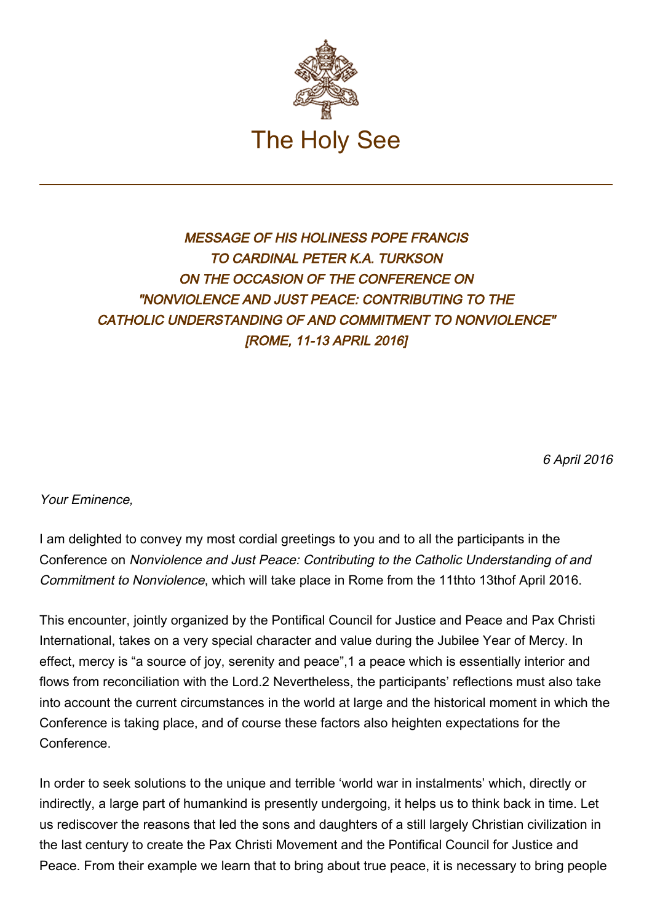

## MESSAGE OF HIS HOLINESS POPE FRANCIS TO CARDINAL PETER K.A. TURKSON ON THE OCCASION OF THE CONFERENCE ON "NONVIOLENCE AND JUST PEACE: CONTRIBUTING TO THE CATHOLIC UNDERSTANDING OF AND COMMITMENT TO NONVIOLENCE" [ROME, 11-13 APRIL 2016]

6 April 2016

Your Eminence,

I am delighted to convey my most cordial greetings to you and to all the participants in the Conference on Nonviolence and Just Peace: Contributing to the Catholic Understanding of and Commitment to Nonviolence, which will take place in Rome from the 11thto 13thof April 2016.

This encounter, jointly organized by the Pontifical Council for Justice and Peace and Pax Christi International, takes on a very special character and value during the Jubilee Year of Mercy. In effect, mercy is "a source of joy, serenity and peace",1 a peace which is essentially interior and flows from reconciliation with the Lord.2 Nevertheless, the participants' reflections must also take into account the current circumstances in the world at large and the historical moment in which the Conference is taking place, and of course these factors also heighten expectations for the Conference.

In order to seek solutions to the unique and terrible 'world war in instalments' which, directly or indirectly, a large part of humankind is presently undergoing, it helps us to think back in time. Let us rediscover the reasons that led the sons and daughters of a still largely Christian civilization in the last century to create the Pax Christi Movement and the Pontifical Council for Justice and Peace. From their example we learn that to bring about true peace, it is necessary to bring people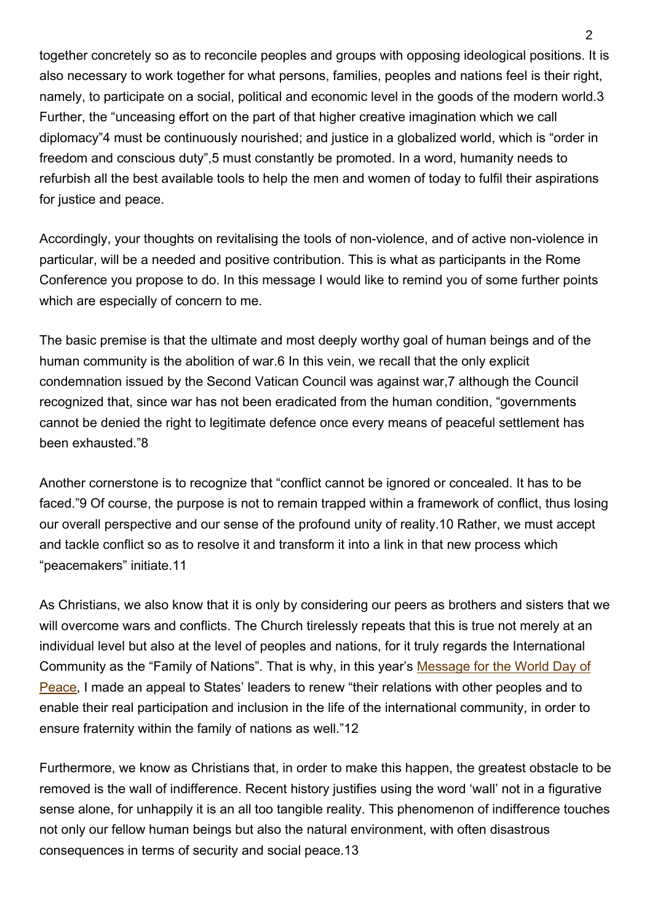together concretely so as to reconcile peoples and groups with opposing ideological positions. It is also necessary to work together for what persons, families, peoples and nations feel is their right, namely, to participate on a social, political and economic level in the goods of the modern world.3 Further, the "unceasing effort on the part of that higher creative imagination which we call diplomacy"4 must be continuously nourished; and justice in a globalized world, which is "order in freedom and conscious duty",5 must constantly be promoted. In a word, humanity needs to refurbish all the best available tools to help the men and women of today to fulfil their aspirations for justice and peace.

Accordingly, your thoughts on revitalising the tools of non-violence, and of active non-violence in particular, will be a needed and positive contribution. This is what as participants in the Rome Conference you propose to do. In this message I would like to remind you of some further points which are especially of concern to me.

The basic premise is that the ultimate and most deeply worthy goal of human beings and of the human community is the abolition of war.6 In this vein, we recall that the only explicit condemnation issued by the Second Vatican Council was against war,7 although the Council recognized that, since war has not been eradicated from the human condition, "governments cannot be denied the right to legitimate defence once every means of peaceful settlement has been exhausted."8

Another cornerstone is to recognize that "conflict cannot be ignored or concealed. It has to be faced."9 Of course, the purpose is not to remain trapped within a framework of conflict, thus losing our overall perspective and our sense of the profound unity of reality.10 Rather, we must accept and tackle conflict so as to resolve it and transform it into a link in that new process which "peacemakers" initiate.11

As Christians, we also know that it is only by considering our peers as brothers and sisters that we will overcome wars and conflicts. The Church tirelessly repeats that this is true not merely at an individual level but also at the level of peoples and nations, for it truly regards the International Community as the "Family of Nations". That is why, in this year's [Message for the World Day of](http://w2.vatican.va/content/francesco/en/messages/peace/documents/papa-francesco_20151208_messaggio-xlix-giornata-mondiale-pace-2016.html) [Peace](http://w2.vatican.va/content/francesco/en/messages/peace/documents/papa-francesco_20151208_messaggio-xlix-giornata-mondiale-pace-2016.html), I made an appeal to States' leaders to renew "their relations with other peoples and to enable their real participation and inclusion in the life of the international community, in order to ensure fraternity within the family of nations as well."12

Furthermore, we know as Christians that, in order to make this happen, the greatest obstacle to be removed is the wall of indifference. Recent history justifies using the word 'wall' not in a figurative sense alone, for unhappily it is an all too tangible reality. This phenomenon of indifference touches not only our fellow human beings but also the natural environment, with often disastrous consequences in terms of security and social peace.13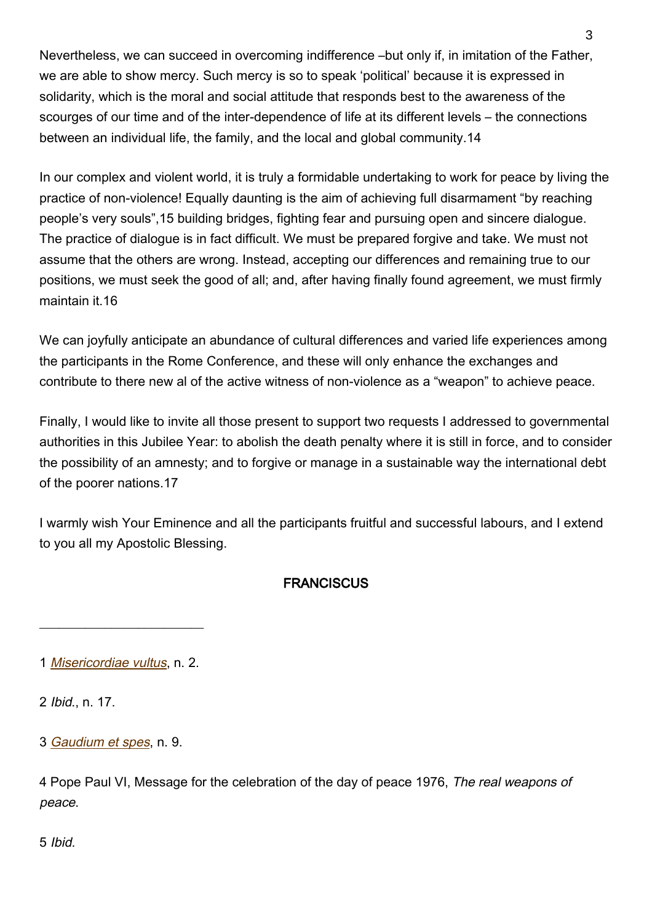Nevertheless, we can succeed in overcoming indifference –but only if, in imitation of the Father, we are able to show mercy. Such mercy is so to speak 'political' because it is expressed in solidarity, which is the moral and social attitude that responds best to the awareness of the scourges of our time and of the inter-dependence of life at its different levels – the connections between an individual life, the family, and the local and global community.14

In our complex and violent world, it is truly a formidable undertaking to work for peace by living the practice of non-violence! Equally daunting is the aim of achieving full disarmament "by reaching people's very souls",15 building bridges, fighting fear and pursuing open and sincere dialogue. The practice of dialogue is in fact difficult. We must be prepared forgive and take. We must not assume that the others are wrong. Instead, accepting our differences and remaining true to our positions, we must seek the good of all; and, after having finally found agreement, we must firmly maintain it.16

We can joyfully anticipate an abundance of cultural differences and varied life experiences among the participants in the Rome Conference, and these will only enhance the exchanges and contribute to there new al of the active witness of non-violence as a "weapon" to achieve peace.

Finally, I would like to invite all those present to support two requests I addressed to governmental authorities in this Jubilee Year: to abolish the death penalty where it is still in force, and to consider the possibility of an amnesty; and to forgive or manage in a sustainable way the international debt of the poorer nations.17

I warmly wish Your Eminence and all the participants fruitful and successful labours, and I extend to you all my Apostolic Blessing.

## **FRANCISCUS**

 $\overline{\phantom{a}}$  , where  $\overline{\phantom{a}}$  , where  $\overline{\phantom{a}}$  , where  $\overline{\phantom{a}}$  ,  $\overline{\phantom{a}}$  ,  $\overline{\phantom{a}}$  ,  $\overline{\phantom{a}}$  ,  $\overline{\phantom{a}}$  ,  $\overline{\phantom{a}}$  ,  $\overline{\phantom{a}}$  ,  $\overline{\phantom{a}}$  ,  $\overline{\phantom{a}}$  ,  $\overline{\phantom{a}}$  ,  $\overline{\phantom{a}}$  ,  $\overline{\phantom$ 

2 Ibid., n. 17.

3 [Gaudium et spes](http://www.vatican.va/archive/hist_councils/ii_vatican_council/documents/vat-ii_const_19651207_gaudium-et-spes_en.html), n. 9.

4 Pope Paul VI, Message for the celebration of the day of peace 1976, The real weapons of peace.

5 Ibid.

<sup>1</sup> [Misericordiae vultus](http://w2.vatican.va/content/francesco/en/bulls/documents/papa-francesco_bolla_20150411_misericordiae-vultus.html), n. 2.